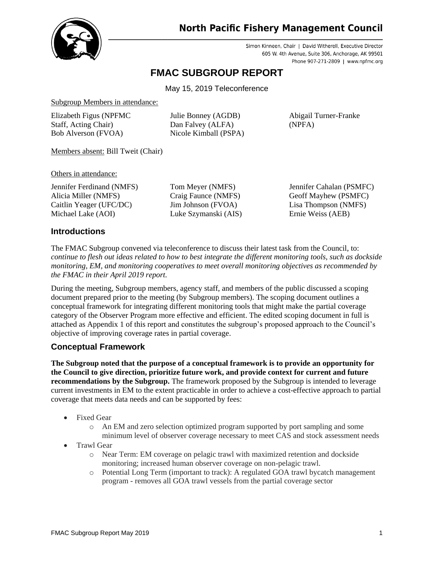

# **North Pacific Fishery Management Council**

Simon Kinneen, Chair | David Witherell, Executive Director 605 W. 4th Avenue, Suite 306, Anchorage, AK 99501 Phone 907-271-2809 | www.npfmc.org

# **FMAC SUBGROUP REPORT**

May 15, 2019 Teleconference

Subgroup Members in attendance:

Elizabeth Figus (NPFMC Staff, Acting Chair) Bob Alverson (FVOA)

Julie Bonney (AGDB) Dan Falvey (ALFA) Nicole Kimball (PSPA)

Abigail Turner-Franke (NPFA)

Members absent: Bill Tweit (Chair)

Others in attendance:

Jennifer Ferdinand (NMFS) Alicia Miller (NMFS) Caitlin Yeager (UFC/DC) Michael Lake (AOI)

Tom Meyer (NMFS) Craig Faunce (NMFS) Jim Johnson (FVOA) Luke Szymanski (AIS)

Jennifer Cahalan (PSMFC) Geoff Mayhew (PSMFC) Lisa Thompson (NMFS) Ernie Weiss (AEB)

# **Introductions**

The FMAC Subgroup convened via teleconference to discuss their latest task from the Council, to: *continue to flesh out ideas related to how to best integrate the different monitoring tools, such as dockside monitoring, EM, and monitoring cooperatives to meet overall monitoring objectives as recommended by the FMAC in their April 2019 report.*

During the meeting, Subgroup members, agency staff, and members of the public discussed a scoping document prepared prior to the meeting (by Subgroup members). The scoping document outlines a conceptual framework for integrating different monitoring tools that might make the partial coverage category of the Observer Program more effective and efficient. The edited scoping document in full is attached as Appendix 1 of this report and constitutes the subgroup's proposed approach to the Council's objective of improving coverage rates in partial coverage.

# **Conceptual Framework**

**The Subgroup noted that the purpose of a conceptual framework is to provide an opportunity for the Council to give direction, prioritize future work, and provide context for current and future recommendations by the Subgroup.** The framework proposed by the Subgroup is intended to leverage current investments in EM to the extent practicable in order to achieve a cost-effective approach to partial coverage that meets data needs and can be supported by fees:

- **Fixed Gear** 
	- o An EM and zero selection optimized program supported by port sampling and some minimum level of observer coverage necessary to meet CAS and stock assessment needs
- Trawl Gear
	- o Near Term: EM coverage on pelagic trawl with maximized retention and dockside monitoring; increased human observer coverage on non-pelagic trawl.
	- o Potential Long Term (important to track): A regulated GOA trawl bycatch management program - removes all GOA trawl vessels from the partial coverage sector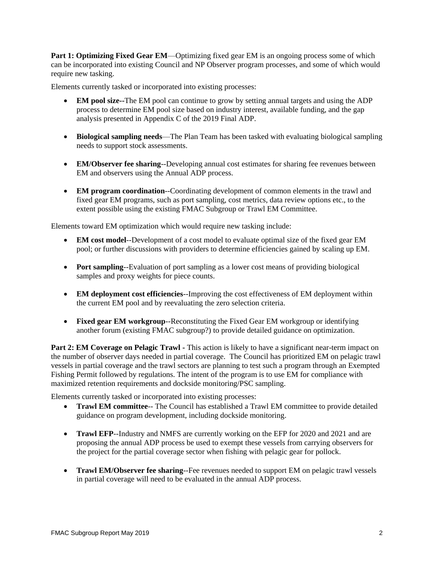**Part 1: Optimizing Fixed Gear EM—Optimizing fixed gear EM is an ongoing process some of which** can be incorporated into existing Council and NP Observer program processes, and some of which would require new tasking.

Elements currently tasked or incorporated into existing processes:

- **EM pool size--**The EM pool can continue to grow by setting annual targets and using the ADP process to determine EM pool size based on industry interest, available funding, and the gap analysis presented in Appendix C of the 2019 Final ADP.
- **Biological sampling needs**—The Plan Team has been tasked with evaluating biological sampling needs to support stock assessments.
- **EM/Observer fee sharing--Developing annual cost estimates for sharing fee revenues between** EM and observers using the Annual ADP process.
- **EM program coordination**--Coordinating development of common elements in the trawl and fixed gear EM programs, such as port sampling, cost metrics, data review options etc., to the extent possible using the existing FMAC Subgroup or Trawl EM Committee.

Elements toward EM optimization which would require new tasking include:

- **EM cost model**--Development of a cost model to evaluate optimal size of the fixed gear EM pool; or further discussions with providers to determine efficiencies gained by scaling up EM.
- **Port sampling**--Evaluation of port sampling as a lower cost means of providing biological samples and proxy weights for piece counts.
- **EM deployment cost efficiencies**--Improving the cost effectiveness of EM deployment within the current EM pool and by reevaluating the zero selection criteria.
- **Fixed gear EM workgroup**--Reconstituting the Fixed Gear EM workgroup or identifying another forum (existing FMAC subgroup?) to provide detailed guidance on optimization.

Part 2: **EM Coverage on Pelagic Trawl** - This action is likely to have a significant near-term impact on the number of observer days needed in partial coverage. The Council has prioritized EM on pelagic trawl vessels in partial coverage and the trawl sectors are planning to test such a program through an Exempted Fishing Permit followed by regulations. The intent of the program is to use EM for compliance with maximized retention requirements and dockside monitoring/PSC sampling.

Elements currently tasked or incorporated into existing processes:

- **Trawl EM committee** The Council has established a Trawl EM committee to provide detailed guidance on program development, including dockside monitoring.
- **Trawl EFP**--Industry and NMFS are currently working on the EFP for 2020 and 2021 and are proposing the annual ADP process be used to exempt these vessels from carrying observers for the project for the partial coverage sector when fishing with pelagic gear for pollock.
- **Trawl EM/Observer fee sharing**--Fee revenues needed to support EM on pelagic trawl vessels in partial coverage will need to be evaluated in the annual ADP process.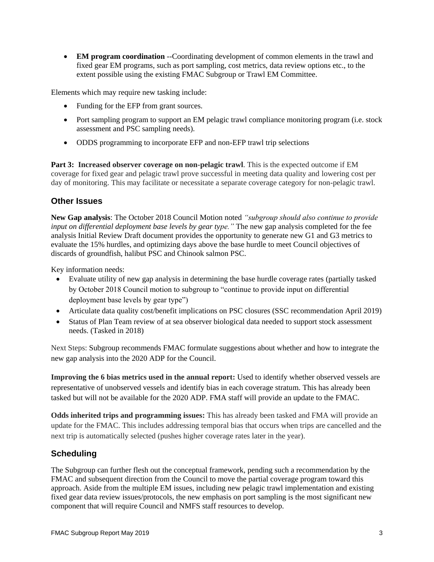• **EM program coordination** --Coordinating development of common elements in the trawl and fixed gear EM programs, such as port sampling, cost metrics, data review options etc., to the extent possible using the existing FMAC Subgroup or Trawl EM Committee.

Elements which may require new tasking include:

- Funding for the EFP from grant sources.
- Port sampling program to support an EM pelagic trawl compliance monitoring program (i.e. stock assessment and PSC sampling needs).
- ODDS programming to incorporate EFP and non-EFP trawl trip selections

**Part 3: Increased observer coverage on non-pelagic trawl**. This is the expected outcome if EM coverage for fixed gear and pelagic trawl prove successful in meeting data quality and lowering cost per day of monitoring. This may facilitate or necessitate a separate coverage category for non-pelagic trawl.

## **Other Issues**

**New Gap analysis**: The October 2018 Council Motion noted *"subgroup should also continue to provide input on differential deployment base levels by gear type."* The new gap analysis completed for the fee analysis Initial Review Draft document provides the opportunity to generate new G1 and G3 metrics to evaluate the 15% hurdles, and optimizing days above the base hurdle to meet Council objectives of discards of groundfish, halibut PSC and Chinook salmon PSC.

Key information needs:

- Evaluate utility of new gap analysis in determining the base hurdle coverage rates (partially tasked by October 2018 Council motion to subgroup to "continue to provide input on differential deployment base levels by gear type")
- Articulate data quality cost/benefit implications on PSC closures (SSC recommendation April 2019)
- Status of Plan Team review of at sea observer biological data needed to support stock assessment needs. (Tasked in 2018)

Next Steps: Subgroup recommends FMAC formulate suggestions about whether and how to integrate the new gap analysis into the 2020 ADP for the Council.

**Improving the 6 bias metrics used in the annual report:** Used to identify whether observed vessels are representative of unobserved vessels and identify bias in each coverage stratum. This has already been tasked but will not be available for the 2020 ADP. FMA staff will provide an update to the FMAC.

**Odds inherited trips and programming issues:** This has already been tasked and FMA will provide an update for the FMAC. This includes addressing temporal bias that occurs when trips are cancelled and the next trip is automatically selected (pushes higher coverage rates later in the year).

# **Scheduling**

The Subgroup can further flesh out the conceptual framework, pending such a recommendation by the FMAC and subsequent direction from the Council to move the partial coverage program toward this approach. Aside from the multiple EM issues, including new pelagic trawl implementation and existing fixed gear data review issues/protocols, the new emphasis on port sampling is the most significant new component that will require Council and NMFS staff resources to develop.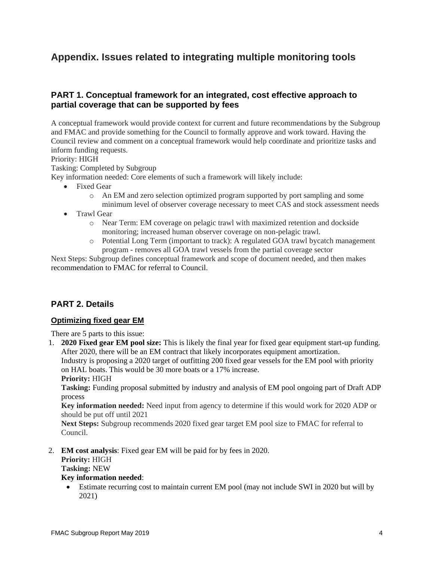# **Appendix. Issues related to integrating multiple monitoring tools**

# **PART 1. Conceptual framework for an integrated, cost effective approach to partial coverage that can be supported by fees**

A conceptual framework would provide context for current and future recommendations by the Subgroup and FMAC and provide something for the Council to formally approve and work toward. Having the Council review and comment on a conceptual framework would help coordinate and prioritize tasks and inform funding requests.

Priority: HIGH

Tasking: Completed by Subgroup

Key information needed: Core elements of such a framework will likely include:

- Fixed Gear
	- o An EM and zero selection optimized program supported by port sampling and some minimum level of observer coverage necessary to meet CAS and stock assessment needs
- Trawl Gear
	- o Near Term: EM coverage on pelagic trawl with maximized retention and dockside monitoring; increased human observer coverage on non-pelagic trawl.
	- o Potential Long Term (important to track): A regulated GOA trawl bycatch management program - removes all GOA trawl vessels from the partial coverage sector

Next Steps: Subgroup defines conceptual framework and scope of document needed, and then makes recommendation to FMAC for referral to Council.

# **PART 2. Details**

## **Optimizing fixed gear EM**

There are 5 parts to this issue:

1. **2020 Fixed gear EM pool size:** This is likely the final year for fixed gear equipment start-up funding. After 2020, there will be an EM contract that likely incorporates equipment amortization. Industry is proposing a 2020 target of outfitting 200 fixed gear vessels for the EM pool with priority on HAL boats. This would be 30 more boats or a 17% increase. **Priority:** HIGH

**Tasking:** Funding proposal submitted by industry and analysis of EM pool ongoing part of Draft ADP process

**Key information needed:** Need input from agency to determine if this would work for 2020 ADP or should be put off until 2021

**Next Steps:** Subgroup recommends 2020 fixed gear target EM pool size to FMAC for referral to Council.

2. **EM cost analysis**: Fixed gear EM will be paid for by fees in 2020.

**Priority:** HIGH

**Tasking:** NEW

#### **Key information needed**:

• Estimate recurring cost to maintain current EM pool (may not include SWI in 2020 but will by 2021)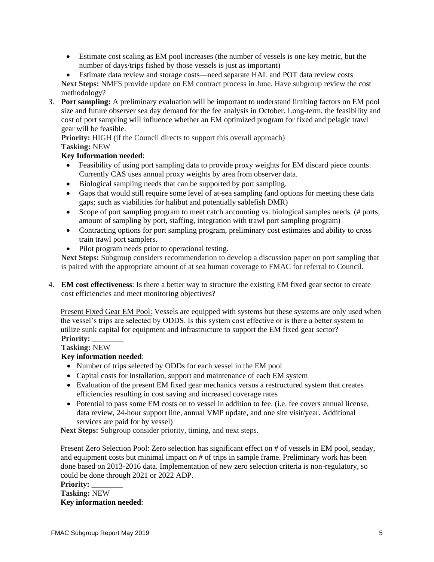• Estimate cost scaling as EM pool increases (the number of vessels is one key metric, but the number of days/trips fished by those vessels is just as important)

• Estimate data review and storage costs—need separate HAL and POT data review costs **Next Steps:** NMFS provide update on EM contract process in June. Have subgroup review the cost methodology?

3. **Port sampling:** A preliminary evaluation will be important to understand limiting factors on EM pool size and future observer sea day demand for the fee analysis in October. Long-term, the feasibility and cost of port sampling will influence whether an EM optimized program for fixed and pelagic trawl gear will be feasible.

**Priority:** HIGH (if the Council directs to support this overall approach) **Tasking:** NEW

## **Key Information needed**:

- Feasibility of using port sampling data to provide proxy weights for EM discard piece counts. Currently CAS uses annual proxy weights by area from observer data.
- Biological sampling needs that can be supported by port sampling.
- Gaps that would still require some level of at-sea sampling (and options for meeting these data gaps; such as viabilities for halibut and potentially sablefish DMR)
- Scope of port sampling program to meet catch accounting vs. biological samples needs. (# ports, amount of sampling by port, staffing, integration with trawl port sampling program)
- Contracting options for port sampling program, preliminary cost estimates and ability to cross train trawl port samplers.
- Pilot program needs prior to operational testing.

**Next Steps:** Subgroup considers recommendation to develop a discussion paper on port sampling that is paired with the appropriate amount of at sea human coverage to FMAC for referral to Council.

4. **EM cost effectiveness**: Is there a better way to structure the existing EM fixed gear sector to create cost efficiencies and meet monitoring objectives?

Present Fixed Gear EM Pool: Vessels are equipped with systems but these systems are only used when the vessel's trips are selected by ODDS. Is this system cost effective or is there a better system to utilize sunk capital for equipment and infrastructure to support the EM fixed gear sector? **Priority:** \_\_\_\_\_\_\_\_

# **Tasking:** NEW

## **Key information needed**:

- Number of trips selected by ODDs for each vessel in the EM pool
- Capital costs for installation, support and maintenance of each EM system
- Evaluation of the present EM fixed gear mechanics versus a restructured system that creates efficiencies resulting in cost saving and increased coverage rates
- Potential to pass some EM costs on to vessel in addition to fee. (i.e. fee covers annual license, data review, 24-hour support line, annual VMP update, and one site visit/year. Additional services are paid for by vessel)

**Next Steps:** Subgroup consider priority, timing, and next steps.

Present Zero Selection Pool: Zero selection has significant effect on # of vessels in EM pool, seaday, and equipment costs but minimal impact on # of trips in sample frame. Preliminary work has been done based on 2013-2016 data. Implementation of new zero selection criteria is non-regulatory, so could be done through 2021 or 2022 ADP.

Priority: **Tasking:** NEW **Key information needed**: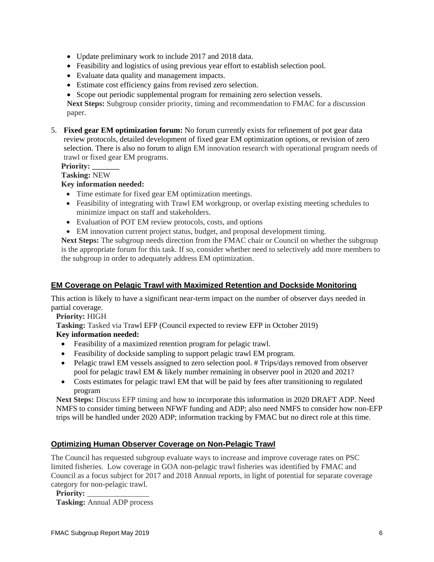- Update preliminary work to include 2017 and 2018 data.
- Feasibility and logistics of using previous year effort to establish selection pool.
- Evaluate data quality and management impacts.
- Estimate cost efficiency gains from revised zero selection.
- Scope out periodic supplemental program for remaining zero selection vessels.

**Next Steps:** Subgroup consider priority, timing and recommendation to FMAC for a discussion paper.

5. **Fixed gear EM optimization forum:** No forum currently exists for refinement of pot gear data review protocols, detailed development of fixed gear EM optimization options, or revision of zero selection. There is also no forum to align EM innovation research with operational program needs of trawl or fixed gear EM programs.

#### **Priority: \_\_\_\_\_\_\_**

**Tasking:** NEW

#### **Key information needed:**

- Time estimate for fixed gear EM optimization meetings.
- Feasibility of integrating with Trawl EM workgroup, or overlap existing meeting schedules to minimize impact on staff and stakeholders.
- Evaluation of POT EM review protocols, costs, and options
- EM innovation current project status, budget, and proposal development timing.

**Next Steps:** The subgroup needs direction from the FMAC chair or Council on whether the subgroup is the appropriate forum for this task. If so, consider whether need to selectively add more members to the subgroup in order to adequately address EM optimization.

## **EM Coverage on Pelagic Trawl with Maximized Retention and Dockside Monitoring**

This action is likely to have a significant near-term impact on the number of observer days needed in partial coverage.

**Priority:** HIGH

**Tasking:** Tasked via Trawl EFP (Council expected to review EFP in October 2019)

## **Key information needed:**

- Feasibility of a maximized retention program for pelagic trawl.
- Feasibility of dockside sampling to support pelagic trawl EM program.
- Pelagic trawl EM vessels assigned to zero selection pool. # Trips/days removed from observer pool for pelagic trawl EM & likely number remaining in observer pool in 2020 and 2021?
- Costs estimates for pelagic trawl EM that will be paid by fees after transitioning to regulated program

**Next Steps:** Discuss EFP timing and how to incorporate this information in 2020 DRAFT ADP. Need NMFS to consider timing between NFWF funding and ADP; also need NMFS to consider how non-EFP trips will be handled under 2020 ADP; information tracking by FMAC but no direct role at this time.

## **Optimizing Human Observer Coverage on Non-Pelagic Trawl**

The Council has requested subgroup evaluate ways to increase and improve coverage rates on PSC limited fisheries. Low coverage in GOA non-pelagic trawl fisheries was identified by FMAC and Council as a focus subject for 2017 and 2018 Annual reports, in light of potential for separate coverage category for non-pelagic trawl.

**Priority:** \_\_\_\_\_\_\_\_\_\_\_\_\_\_\_\_ **Tasking:** Annual ADP process